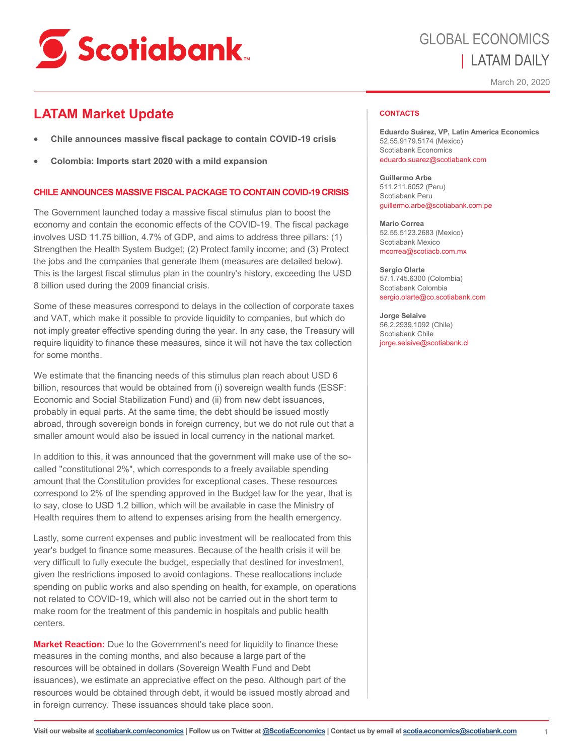

# GLOBAL ECONOMICS | LATAM DAILY

March 20, 2020

# **LATAM Market Update**

- **Chile announces massive fiscal package to contain COVID-19 crisis**
- **Colombia: Imports start 2020 with a mild expansion**

# **CHILE ANNOUNCES MASSIVE FISCAL PACKAGE TO CONTAIN COVID-19 CRISIS**

The Government launched today a massive fiscal stimulus plan to boost the economy and contain the economic effects of the COVID-19. The fiscal package involves USD 11.75 billion, 4.7% of GDP, and aims to address three pillars: (1) Strengthen the Health System Budget; (2) Protect family income; and (3) Protect the jobs and the companies that generate them (measures are detailed below). This is the largest fiscal stimulus plan in the country's history, exceeding the USD 8 billion used during the 2009 financial crisis.

Some of these measures correspond to delays in the collection of corporate taxes and VAT, which make it possible to provide liquidity to companies, but which do not imply greater effective spending during the year. In any case, the Treasury will require liquidity to finance these measures, since it will not have the tax collection for some months.

We estimate that the financing needs of this stimulus plan reach about USD 6 billion, resources that would be obtained from (i) sovereign wealth funds (ESSF: Economic and Social Stabilization Fund) and (ii) from new debt issuances, probably in equal parts. At the same time, the debt should be issued mostly abroad, through sovereign bonds in foreign currency, but we do not rule out that a smaller amount would also be issued in local currency in the national market.

In addition to this, it was announced that the government will make use of the socalled "constitutional 2%", which corresponds to a freely available spending amount that the Constitution provides for exceptional cases. These resources correspond to 2% of the spending approved in the Budget law for the year, that is to say, close to USD 1.2 billion, which will be available in case the Ministry of Health requires them to attend to expenses arising from the health emergency.

Lastly, some current expenses and public investment will be reallocated from this year's budget to finance some measures. Because of the health crisis it will be very difficult to fully execute the budget, especially that destined for investment, given the restrictions imposed to avoid contagions. These reallocations include spending on public works and also spending on health, for example, on operations not related to COVID-19, which will also not be carried out in the short term to make room for the treatment of this pandemic in hospitals and public health centers.

**Market Reaction:** Due to the Government's need for liquidity to finance these measures in the coming months, and also because a large part of the resources will be obtained in dollars (Sovereign Wealth Fund and Debt issuances), we estimate an appreciative effect on the peso. Although part of the resources would be obtained through debt, it would be issued mostly abroad and in foreign currency. These issuances should take place soon.

#### **CONTACTS**

**Eduardo Suárez, VP, Latin America Economics**  52.55.9179.5174 (Mexico) Scotiabank Economics eduardo.suarez@scotiabank.com

**Guillermo Arbe**  511.211.6052 (Peru) Scotiabank Peru guillermo.arbe@scotiabank.com.pe

**Mario Correa**  52.55.5123.2683 (Mexico) Scotiabank Mexico mcorrea@scotiacb.com.mx

**Sergio Olarte**  57.1.745.6300 (Colombia) Scotiabank Colombia sergio.olarte@co.scotiabank.com

**Jorge Selaive** 56.2.2939.1092 (Chile) Scotiabank Chile jorge.selaive@scotiabank.cl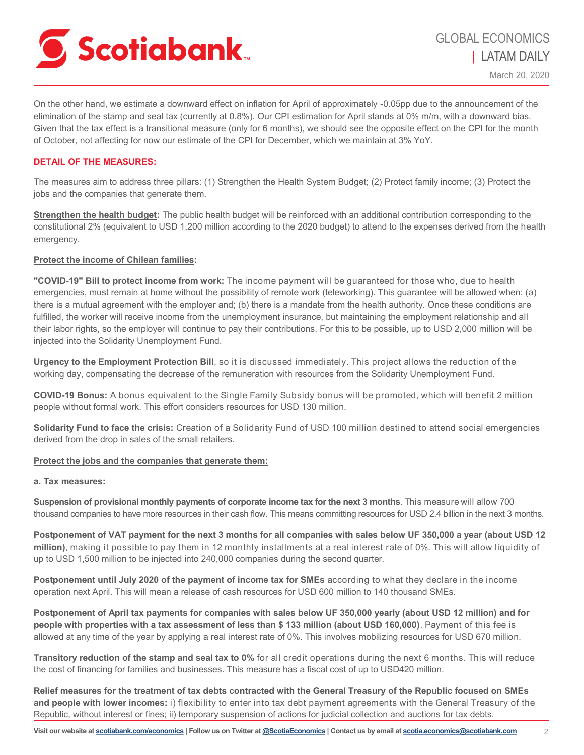

March 20, 2020

On the other hand, we estimate a downward effect on inflation for April of approximately -0.05pp due to the announcement of the elimination of the stamp and seal tax (currently at 0.8%). Our CPI estimation for April stands at 0% m/m, with a downward bias. Given that the tax effect is a transitional measure (only for 6 months), we should see the opposite effect on the CPI for the month of October, not affecting for now our estimate of the CPI for December, which we maintain at 3% YoY.

## **DETAIL OF THE MEASURES:**

The measures aim to address three pillars: (1) Strengthen the Health System Budget; (2) Protect family income; (3) Protect the jobs and the companies that generate them.

**Strengthen the health budget:** The public health budget will be reinforced with an additional contribution corresponding to the constitutional 2% (equivalent to USD 1,200 million according to the 2020 budget) to attend to the expenses derived from the health emergency.

## **Protect the income of Chilean families:**

**"COVID-19" Bill to protect income from work:** The income payment will be guaranteed for those who, due to health emergencies, must remain at home without the possibility of remote work (teleworking). This guarantee will be allowed when: (a) there is a mutual agreement with the employer and; (b) there is a mandate from the health authority. Once these conditions are fulfilled, the worker will receive income from the unemployment insurance, but maintaining the employment relationship and all their labor rights, so the employer will continue to pay their contributions. For this to be possible, up to USD 2,000 million will be injected into the Solidarity Unemployment Fund.

**Urgency to the Employment Protection Bill**, so it is discussed immediately. This project allows the reduction of the working day, compensating the decrease of the remuneration with resources from the Solidarity Unemployment Fund.

**COVID-19 Bonus:** A bonus equivalent to the Single Family Subsidy bonus will be promoted, which will benefit 2 million people without formal work. This effort considers resources for USD 130 million.

**Solidarity Fund to face the crisis:** Creation of a Solidarity Fund of USD 100 million destined to attend social emergencies derived from the drop in sales of the small retailers.

# **Protect the jobs and the companies that generate them:**

# **a. Tax measures:**

**Suspension of provisional monthly payments of corporate income tax for the next 3 months**. This measure will allow 700 thousand companies to have more resources in their cash flow. This means committing resources for USD 2.4 billion in the next 3 months.

**Postponement of VAT payment for the next 3 months for all companies with sales below UF 350,000 a year (about USD 12 million)**, making it possible to pay them in 12 monthly installments at a real interest rate of 0%. This will allow liquidity of up to USD 1,500 million to be injected into 240,000 companies during the second quarter.

**Postponement until July 2020 of the payment of income tax for SMEs** according to what they declare in the income operation next April. This will mean a release of cash resources for USD 600 million to 140 thousand SMEs.

**Postponement of April tax payments for companies with sales below UF 350,000 yearly (about USD 12 million) and for people with properties with a tax assessment of less than \$ 133 million (about USD 160,000)**. Payment of this fee is allowed at any time of the year by applying a real interest rate of 0%. This involves mobilizing resources for USD 670 million.

**Transitory reduction of the stamp and seal tax to 0%** for all credit operations during the next 6 months. This will reduce the cost of financing for families and businesses. This measure has a fiscal cost of up to USD420 million.

**Relief measures for the treatment of tax debts contracted with the General Treasury of the Republic focused on SMEs and people with lower incomes:** i) flexibility to enter into tax debt payment agreements with the General Treasury of the Republic, without interest or fines; ii) temporary suspension of actions for judicial collection and auctions for tax debts.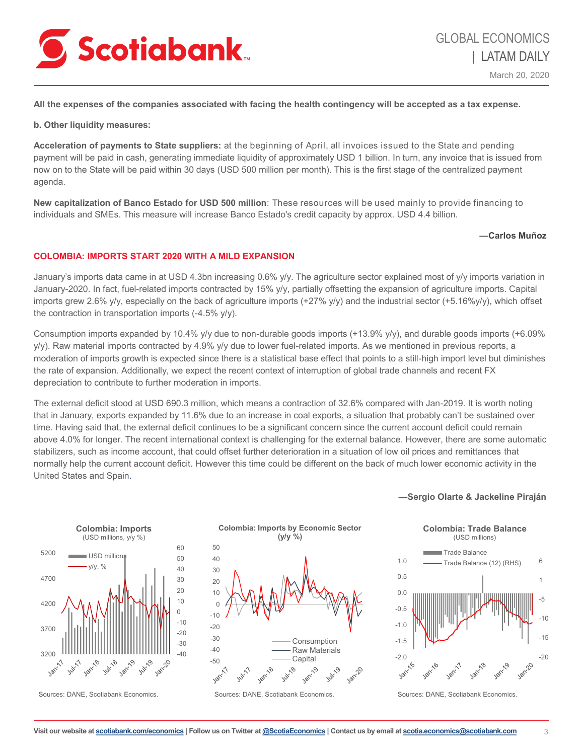

March 20, 2020

**All the expenses of the companies associated with facing the health contingency will be accepted as a tax expense.**

**b. Other liquidity measures:**

**Acceleration of payments to State suppliers:** at the beginning of April, all invoices issued to the State and pending payment will be paid in cash, generating immediate liquidity of approximately USD 1 billion. In turn, any invoice that is issued from now on to the State will be paid within 30 days (USD 500 million per month). This is the first stage of the centralized payment agenda.

**New capitalization of Banco Estado for USD 500 million**: These resources will be used mainly to provide financing to individuals and SMEs. This measure will increase Banco Estado's credit capacity by approx. USD 4.4 billion.

#### **—Carlos Muñoz**

# **COLOMBIA: IMPORTS START 2020 WITH A MILD EXPANSION**

January's imports data came in at USD 4.3bn increasing 0.6% y/y. The agriculture sector explained most of y/y imports variation in January-2020. In fact, fuel-related imports contracted by 15% y/y, partially offsetting the expansion of agriculture imports. Capital imports grew 2.6% y/y, especially on the back of agriculture imports (+27% y/y) and the industrial sector (+5.16%y/y), which offset the contraction in transportation imports (-4.5% y/y).

Consumption imports expanded by 10.4% y/y due to non-durable goods imports (+13.9% y/y), and durable goods imports (+6.09% y/y). Raw material imports contracted by 4.9% y/y due to lower fuel-related imports. As we mentioned in previous reports, a moderation of imports growth is expected since there is a statistical base effect that points to a still-high import level but diminishes the rate of expansion. Additionally, we expect the recent context of interruption of global trade channels and recent FX depreciation to contribute to further moderation in imports.

The external deficit stood at USD 690.3 million, which means a contraction of 32.6% compared with Jan-2019. It is worth noting that in January, exports expanded by 11.6% due to an increase in coal exports, a situation that probably can't be sustained over time. Having said that, the external deficit continues to be a significant concern since the current account deficit could remain above 4.0% for longer. The recent international context is challenging for the external balance. However, there are some automatic stabilizers, such as income account, that could offset further deterioration in a situation of low oil prices and remittances that normally help the current account deficit. However this time could be different on the back of much lower economic activity in the United States and Spain.



Sources: DANE, Scotiabank Economics.



Sources: DANE, Scotiabank Economics.

#### **—Sergio Olarte & Jackeline Piraján**



Sources: DANE, Scotiabank Economics.